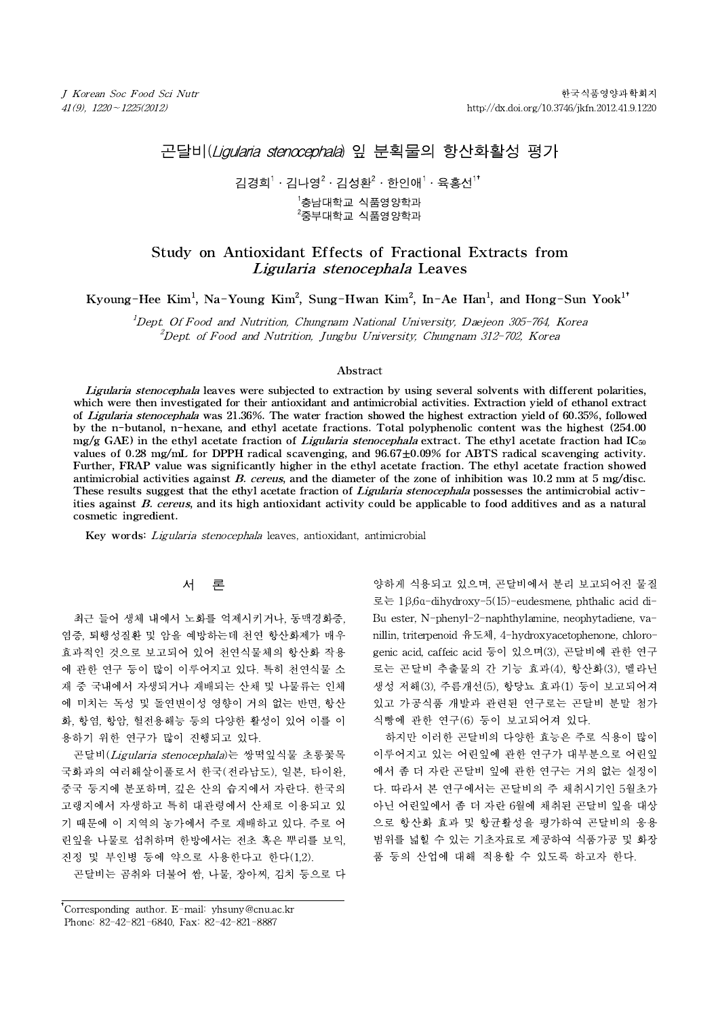# 곤달비(Ligularia stenocephala) 잎 분획물의 항산화활성 평가

# 김경희 $1\cdot$ 김나영 $^2\cdot$ 김성환 $^2\cdot$  한인애 $^1\cdot$ 육홍선 $^{1*}$

<sup>1</sup>충남대학교 식품영양학과  $2\frac{2}{5}$ 부대학교 식품영양학과

# Study on Antioxidant Effects of Fractional Extracts from Ligularia stenocephala Leaves

Kyoung-Hee Kim<sup>1</sup>, Na-Young Kim<sup>2</sup>, Sung-Hwan Kim<sup>2</sup>, In-Ae Han<sup>1</sup>, and Hong-Sun Yook<sup>1†</sup>

 $1$ Dept. Of Food and Nutrition, Chungnam National University, Daejeon 305-764, Korea *Ligularia stenocephala* Leaves<br>
2 Kim<sup>1</sup>, Na-Young Kim<sup>2</sup>, Sung-Hwan Kim<sup>2</sup>, In-Ae Han<sup>1</sup>, and Hong-Sun Y<br>
2 *t. Of Food and Nutrition, Chungnam National University, Daejeon 305-764, Korea*<br>
<sup>2</sup> Dept. of Food and Nutritio

## Abstract

Ligularia stenocephala leaves were subjected to extraction by using several solvents with different polarities, which were then investigated for their antioxidant and antimicrobial activities. Extraction yield of ethanol extract of Ligularia stenocephala was 21.36%. The water fraction showed the highest extraction yield of 60.35%, followed by the n-butanol, n-hexane, and ethyl acetate fractions. Total polyphenolic content was the highest (254.00  $mg/g$  GAE) in the ethyl acetate fraction of *Ligularia stenocephala* extract. The ethyl acetate fraction had IC<sub>50</sub> values of 0.28 mg/mL for DPPH radical scavenging, and 96.67±0.09% for ABTS radical scavenging activity. Further, FRAP value was significantly higher in the ethyl acetate fraction. The ethyl acetate fraction showed antimicrobial activities against B. cereus, and the diameter of the zone of inhibition was  $10.2$  mm at 5 mg/disc. These results suggest that the ethyl acetate fraction of *Ligularia stenocephala* possesses the antimicrobial activities against B. cereus, and its high antioxidant activity could be applicable to food additives and as a natural cosmetic ingredient.

Key words: Ligularia stenocephala leaves, antioxidant, antimicrobial

# 서 론

최근 들어 생체 내에서 노화를 억제시키거나, 동맥경화증, 염증, 퇴행성질환 및 암을 예방하는데 천연 항산화제가 매우 효과적인 것으로 보고되어 있어 천연식물체의 항산화 작용 에 관한 연구 등이 많이 이루어지고 있다. 특히 천연식물 소 재 중 국내에서 자생되거나 재배되는 산채 및 나물류는 인체 에 미치는 독성 및 돌연변이성 영향이 거의 없는 반면, 항산 화, 항염, 항암, 혈전용해능 등의 다양한 활성이 있어 이를 이 용하기 위한 연구가 많이 진행되고 있다.

곤달비(Ligularia stenocephala)는 쌍떡잎식물 초롱꽃목 국화과의 여러해살이풀로서 한국(전라남도), 일본, 타이완, 중국 등지에 분포하며, 깊은 산의 습지에서 자란다. 한국의 고랭지에서 자생하고 특히 대관령에서 산채로 이용되고 있 기 때문에 이 지역의 농가에서 주로 재배하고 있다. 주로 어 린잎을 나물로 섭취하며 한방에서는 전초 혹은 뿌리를 보익, 진정 및 부인병 등에 약으로 사용한다고 한다(1,2).

곤달비는 곰취와 더불어 쌈, 나물, 장아찌, 김치 등으로 다

†Corresponding author. E-mail: yhsuny@cnu.ac.kr † Phone: 82-42-821-6840, Fax: 82-42-821-8887

양하게 식용되고 있으며, 곤달비에서 분리 보고되어진 물질 로는 1β,6α-dihydroxy-5(15)-eudesmene, phthalic acid di-Bu ester, N-phenyl-2-naphthylamine, neophytadiene, vanillin, triterpenoid 유도체, 4-hydroxyacetophenone, chlorogenic acid, caffeic acid 등이 있으며(3), 곤달비에 관한 연구 로는 곤달비 추출물의 간 기능 효과(4), 항산화(3), 멜라닌 생성 저해(3), 주름개선(5), 항당뇨 효과(1) 등이 보고되어져 있고 가공식품 개발과 관련된 연구로는 곤달비 분말 첨가 식빵에 관한 연구(6) 등이 보고되어져 있다.

하지만 이러한 곤달비의 다양한 효능은 주로 식용이 많이 이루어지고 있는 어린잎에 관한 연구가 대부분으로 어린잎 에서 좀 더 자란 곤달비 잎에 관한 연구는 거의 없는 실정이 다. 따라서 본 연구에서는 곤달비의 주 채취시기인 5월초가 아닌 어린잎에서 좀 더 자란 6월에 채취된 곤달비 잎을 대상 으로 항산화 효과 및 항균활성을 평가하여 곤달비의 응용 범위를 넓힐 수 있는 기초자료로 제공하여 식품가공 및 화장 품 등의 산업에 대해 적용할 수 있도록 하고자 한다.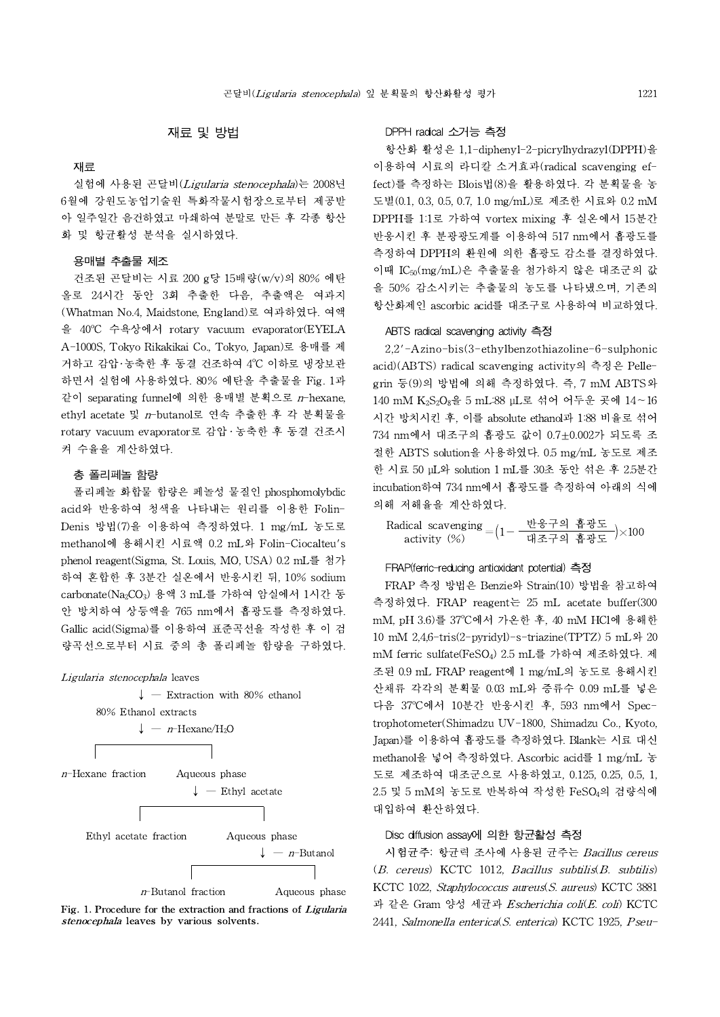# 재료 및 방법

#### 재료

실험에 사용된 곤달비(Ligularia stenocephala)는 2008년 6월에 강원도농업기술원 특화작물시험장으로부터 제공받 아 일주일간 음건하였고 마쇄하여 분말로 만든 후 각종 항산 화 및 항균활성 분석을 실시하였다.

#### 용매별 추출물 제조

건조된 곤달비는 시료 200 g당 15배량(w/v)의 80% 에탄 올로 24시간 동안 3회 추출한 다음, 추출액은 여과지 (Whatman No.4, Maidstone, England)로 여과하였다. 여액 을 40°C 수욕상에서 rotary vacuum evaporator(EYELA A-1000S, Tokyo Rikakikai Co., Tokyo, Japan)로 용매를 제 거하고 감압·농축한 후 동결 건조하여 4°C 이하로 냉장보관 acid)(ABT 하면서 실험에 사용하였다. 80% 에탄올 추출물을 Fig. 1과 같이 separating funnel에 의한 용매별 분획으로 n-hexane, ethyl acetate 및 n-butanol로 연속 추출한 후 각 분획물을 rotary vacuum evaporator로 감압․농축한 후 동결 건조시 켜 수율을 계산하였다.

## 총 폴리페놀 함량

폴리페놀 화합물 함량은 페놀성 물질인 phosphomolybdic acid와 반응하여 청색을 나타내는 원리를 이용한 Folin-Denis 방법(7)을 이용하여 측정하였다. 1 mg/mL 농도로 methanol에 용해시킨 시료액 0.2 mL와 Folin-Ciocalteu's phenol reagent(Sigma, St. Louis, MO, USA) 0.2 mL를 첨가 하여 혼합한 후 3분간 실온에서 반응시킨 뒤, 10% sodium carbonate(Na2CO3) 용액 3 mL를 가하여 암실에서 1시간 동 안 방치하여 상등액을 765 nm에서 흡광도를 측정하였다. Gallic acid(Sigma)를 이용하여 표준곡선을 작성한 후 이 검 량곡선으로부터 시료 중의 총 폴리페놀 함량을 구하였다.

#### Ligularia stenocephala leaves



Fig. 1. Procedure for the extraction and fractions of Ligularia stenocephala leaves by various solvents.

## DPPH radical 소거능 측정

항산화 활성은 1,1-diphenyl-2-picrylhydrazyl(DPPH)을 이용하여 시료의 라디칼 소거효과(radical scavenging effect)를 측정하는 Blois법(8)을 활용하였다. 각 분획물을 농 도별(0.1, 0.3, 0.5, 0.7, 1.0 mg/mL)로 제조한 시료와 0.2 mM DPPH를 1:1로 가하여 vortex mixing 후 실온에서 15분간 반응시킨 후 분광광도계를 이용하여 517 nm에서 흡광도를 측정하여 DPPH의 환원에 의한 흡광도 감소를 결정하였다. 이때 IC50(mg/mL)은 추출물을 첨가하지 않은 대조군의 값 을 50% 감소시키는 추출물의 농도를 나타냈으며, 기존의 항산화제인 ascorbic acid를 대조구로 사용하여 비교하였다.

#### ABTS radical scavenging activity 측정

2,2'-Azino-bis(3-ethylbenzothiazoline-6-sulphonic acid)(ABTS) radical scavenging activity의 측정은 Pellegrin 등(9)의 방법에 의해 측정하였다. 즉, 7 mM ABTS와 140 mM K2S2O8을 5 mL:88 μL로 섞어 어두운 곳에 14~16 시간 방치시킨 후, 이를 absolute ethanol과 1:88 비율로 섞어 734 nm에서 대조구의 흡광도 값이 0.7±0.002가 되도록 조 절한 ABTS solution을 사용하였다. 0.5 mg/mL 농도로 제조 한 시료 50 µL와 solution 1 mL를 30초 동안 섞은 후 2.5분간 incubation하여 734 nm에서 흡광도를 측정하여 아래의 식에 의해 저해율을 계산하였다.

Radical scavenging activity (%) <sup>=</sup>(1- 반응구의 흡광도 )×<sup>100</sup> 대조구의 흡광도

### FRAP(ferric-reducing antioxidant potential) 측정

FRAP 측정 방법은 Benzie와 Strain(10) 방법을 참고하여 측정하였다. FRAP reagent는 25 mL acetate buffer(300 mM, pH 3.6)를 37°C에서 가온한 후, 40 mM HCl에 용해한 10 mM 2,4,6-tris(2-pyridyl)-s-triazine(TPTZ) 5 mL와 20 mM ferric sulfate(FeSO<sub>4</sub>) 2.5 mL를 가하여 제조하였다. 제 조된 0.9 mL FRAP reagent에 1 mg/mL의 농도로 용해시킨 산채류 각각의 분획물 0.03 mL와 증류수 0.09 mL를 넣은 다음 37°C에서 10분간 반응시킨 후, 593 nm에서 Spectrophotometer(Shimadzu UV-1800, Shimadzu Co., Kyoto, Japan)를 이용하여 흡광도를 측정하였다. Blank는 시료 대신 methanol을 넣어 측정하였다.Ascorbic acid를 1 mg/mL 농 도로 제조하여 대조군으로 사용하였고, 0.125, 0.25, 0.5, 1, 2.5 및 5 mM의 농도로 반복하여 작성한 FeSO4의 검량식에 대입하여 환산하였다.

## Disc diffusion assay에 의한 항균활성 측정

시험균주: 항균력 조사에 사용된 균주는 Bacillus cereus (B. cereus) KCTC 1012, Bacillus subtilis(B. subtilis) KCTC 1022, Staphylococcus aureus(S. aureus) KCTC 3881 과 같은 Gram 양성 세균과 Escherichia coli(E. coli) KCTC 2441, Salmonella enterica(S. enterica) KCTC 1925, Pseu-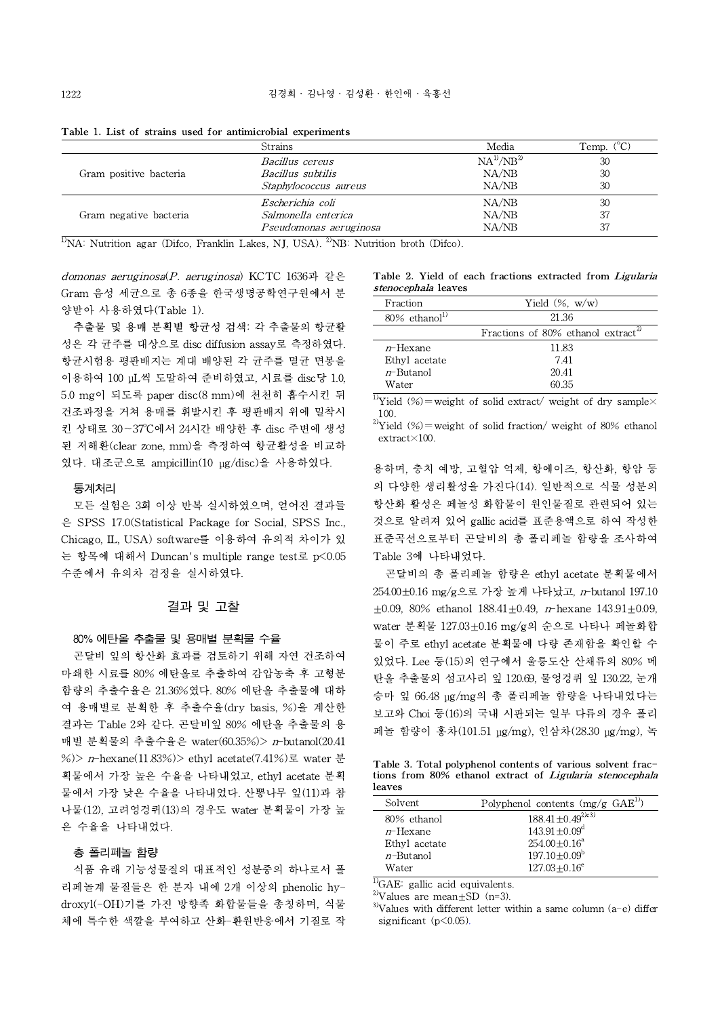|                        | <b>Strains</b>                                                                                              | Media            | Temp. $(^{\circ}C)$ |
|------------------------|-------------------------------------------------------------------------------------------------------------|------------------|---------------------|
|                        | <i>Bacillus cereus</i>                                                                                      | $NA^{1/}NB^{2)}$ | 30                  |
| Gram positive bacteria | <i>Bacillus subtilis</i>                                                                                    | NA/NB            | 30                  |
|                        | Staphylococcus aureus                                                                                       | NA/NB            | 30                  |
|                        | Escherichia coli                                                                                            | NA/NB            | 30                  |
| Gram negative bacteria | Salmonella enterica                                                                                         | NA/NB            | 37                  |
|                        | Pseudomonas aeruginosa                                                                                      | NA/NB            | 37                  |
|                        | <sup>1</sup> NA: Nutrition agar (Difco, Franklin Lakes, NJ, USA). <sup>2</sup> NB: Nutrition broth (Difco). |                  |                     |

Table 1. List of strains used for antimicrobial experiments

domonas aeruginosa(P. aeruginosa) KCTC 1636과 같은 Gram 음성 세균으로 총 6종을 한국생명공학연구원에서 분 양받아 사용하였다(Table 1).

추출물 및 용매 분획별 항균성 검색: 각 추출물의 항균활 성은 각 균주를 대상으로 disc diffusion assay로 측정하였다. 항균시험용 평판배지는 계대 배양된 각 균주를 멸균 면봉을 이용하여 100 μL씩 도말하여 준비하였고, 시료를 disc당 1.0, 5.0 mg이 되도록 paper disc(8 mm)에 천천히 흡수시킨 뒤 건조과정을 거쳐 용매를 휘발시킨 후 평판배지 위에 밀착시 킨 상태로 30~37°C에서 24시간 배양한 후 disc 주변에 생성 된 저해환(clear zone, mm)을 측정하여 항균활성을 비교하 였다. 대조군으로 ampicillin(10 μg/disc)을 사용하였다.

### 통계처리

모든 실험은 3회 이상 반복 실시하였으며, 얻어진 결과들 은 SPSS 17.0(Statistical Package for Social, SPSS Inc., Chicago, IL, USA) software를 이용하여 유의적 차이가 있 는 항목에 대해서 Duncan's multiple range test로 p<0.05 수준에서 유의차 검정을 실시하였다.

# 결과 및 고찰

### 80% 에탄올 추출물 및 용매별 분획물 수율

곤달비 잎의 항산화 효과를 검토하기 위해 자연 건조하여 마쇄한 시료를 80% 에탄올로 추출하여 감압농축 후 고형분 함량의 추출수율은 21.36%였다. 80% 에탄올 추출물에 대하 여 용매별로 분획한 후 추출수율(dry basis, %)을 계산한 결과는 Table 2와 같다. 곤달비잎 80% 에탄올 추출물의 용 매별 분획물의 추출수율은 water(60.35%)> n-butanol(20.41 %)> n-hexane(11.83%)> ethyl acetate(7.41%)로 water 분 획물에서 가장 높은 수율을 나타내었고,ethyl acetate 분획 물에서 가장 낮은 수율을 나타내었다. 산뽕나무 잎(11)과 참 나물(12), 고려엉겅퀴(13)의 경우도 water 분획물이 가장 높 은 수율을 나타내었다.

#### 총 폴리페놀 함량

식품 유래 기능성물질의 대표적인 성분중의 하나로서 폴 리페놀계 물질들은 한 분자 내에 2개 이상의 phenolic hydroxyl(-OH)기를 가진 방향족 화합물들을 총칭하며, 식물 체에 특수한 색깔을 부여하고 산화-환원반응에서 기질로 작

Table 2. Yield of each fractions extracted from Ligularia stenocephala leaves

| Fraction                     | Yield $(\%$ , w/w)                             |
|------------------------------|------------------------------------------------|
| $80\%$ ethanol <sup>1)</sup> | 21.36                                          |
|                              | Fractions of 80% ethanol extract <sup>27</sup> |
| $n$ -Hexane                  | 11.83                                          |
| Ethyl acetate                | 7.41                                           |
| $n$ -Butanol                 | 20.41                                          |
| Water                        | 60.35                                          |

<sup>1)</sup>Yield (%)=weight of solid extract/ weight of dry sample $\times$ 100.

<sup>2)</sup>Yield (%)=weight of solid fraction/ weight of 80% ethanol extract×100.

용하며, 충치 예방, 고혈압 억제, 항에이즈, 항산화, 항암 등 의 다양한 생리활성을 가진다(14). 일반적으로 식물 성분의 항산화 활성은 페놀성 화합물이 원인물질로 관련되어 있는 것으로 알려져 있어 gallic acid를 표준용액으로 하여 작성한 표준곡선으로부터 곤달비의 총 폴리페놀 함량을 조사하여 Table 3에 나타내었다.

곤달비의 총 폴리페놀 함량은 ethyl acetate 분획물에서 254.00±0.16 mg/g으로 가장 높게 나타났고, n-butanol 197.10  $\pm 0.09$ , 80% ethanol 188.41 $\pm 0.49$ , n-hexane 143.91 $\pm 0.09$ , water 분획물 127.03±0.16 mg/g의 순으로 나타나 페놀화합 물이 주로 ethyl acetate 분획물에 다량 존재함을 확인할 수 있었다. Lee 등(15)의 연구에서 울릉도산 산채류의 80% 메 탄올 추출물의 섬고사리 잎 120.69, 물엉겅퀴 잎 130.22, 눈개 승마 잎 66.48 μg/mg의 총 폴리페놀 함량을 나타내었다는 보고와 Choi 등(16)의 국내 시판되는 일부 다류의 경우 폴리 페놀 함량이 홍차(101.51 μg/mg), 인삼차(28.30 μg/mg), 녹

Table 3. Total polyphenol contents of various solvent fractions from 80% ethanol extract of Ligularia stenocephala leaves

| Solvent       | Polyphenol contents $(mg/g\ GAE^{1)}$ |
|---------------|---------------------------------------|
| 80% ethanol   | $188.41 \pm 0.49^{2(c3)}$             |
| $n$ -Hexane   | $143.91 + 0.09^{\mathrm{d}}$          |
| Ethyl acetate | $254.00 + 0.16^a$                     |
| $n$ -Butanol  | $197.10 + 0.09^b$                     |
| Water         | $127.03 + 0.16^e$                     |

 $\overline{^{1)}G}AE$ : gallic acid equivalents.

<sup>2)</sup>Values are mean $\pm$ SD (n=3).

 $3$ Values with different letter within a same column (a-e) differ significant (p<0.05).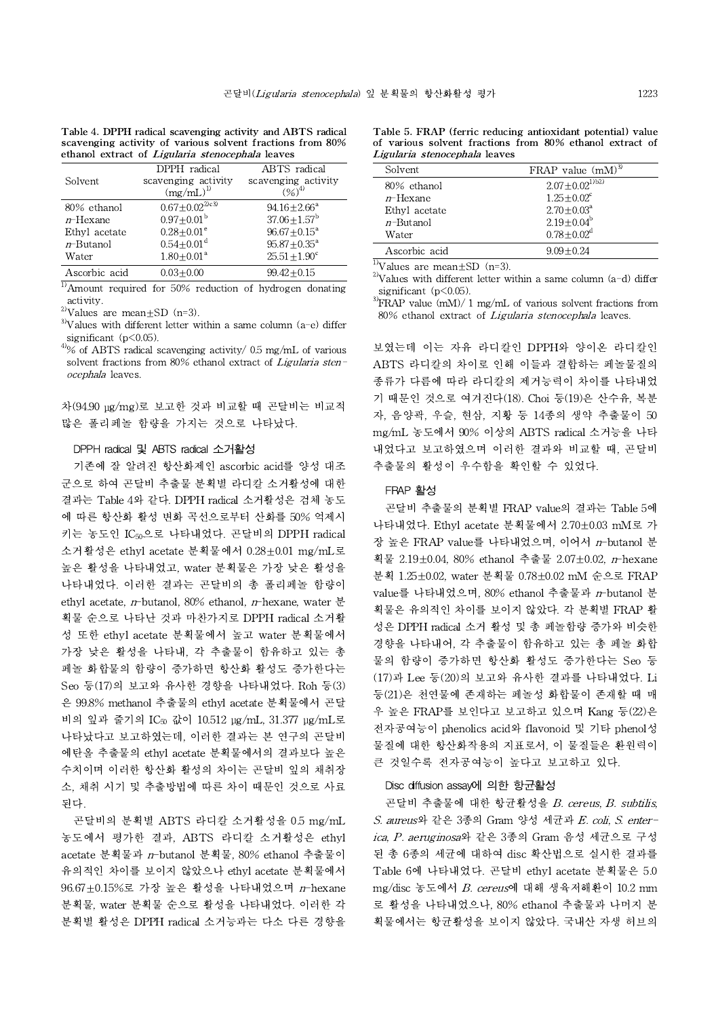| Table 4. DPPH radical scavenging activity and ABTS radical |
|------------------------------------------------------------|
| scavenging activity of various solvent fractions from 80%  |
| ethanol extract of <i>Ligularia stenocephala</i> leaves    |

| Solvent       | DPPH radical<br>scavenging activity<br>$(mg/mL)^{1}$ | ABTS radical<br>scavenging activity<br>$(96)^{4}$ |
|---------------|------------------------------------------------------|---------------------------------------------------|
| 80% ethanol   | $0.67 \pm 0.02^{\frac{2}{103}}$                      | $94.16 + 2.66^{\circ}$                            |
| $n$ -Hexane   | $0.97 \pm 0.01^{\rm b}$                              | $37.06 \pm 1.57^{\rm b}$                          |
| Ethyl acetate | $0.28 + 0.01^e$                                      | $96.67 + 0.15^{\circ}$                            |
| $n$ -Butanol  | $0.54 \pm 0.01$ <sup>d</sup>                         | $95.87 + 0.35^{\circ}$                            |
| Water         | $1.80 + 0.01^a$                                      | $25.51 + 1.90^c$                                  |
| Ascorbic acid | $0.03 + 0.00$                                        | $99.42 + 0.15$                                    |

 $\overline{1}$ Amount required for 50% reduction of hydrogen donating activity.

<sup>2)</sup>Values are mean $\pm$ SD (n=3).

 $3$ <sup>3</sup>Values with different letter within a same column (a-e) differ significant  $(p<0.05)$ .

 $4\%$  of ABTS radical scavenging activity/ 0.5 mg/mL of various solvent fractions from 80% ethanol extract of Ligularia stenocephala leaves.

차(94.90 μg/mg)로 보고한 것과 비교할 때 곤달비는 비교적 많은 폴리페놀 함량을 가지는 것으로 나타났다.

#### DPPH radical 및 ABTSradical 소거활성

기존에 잘 알려진 항산화제인 ascorbic acid를 양성 대조 군으로 하여 곤달비 추출물 분획별 라디칼 소거활성에 대한 결과는 Table 4와 같다. DPPH radical 소거활성은 검체 농도 에 따른 항산화 활성 변화 곡선으로부터 산화를 50% 억제시 키는 농도인 IC50으로 나타내었다. 곤달비의 DPPH radical 소거활성은 ethyl acetate 분획물에서 0.28±0.01 mg/mL로 높은 활성을 나타내었고, water 분획물은 가장 낮은 활성을 나타내었다. 이러한 결과는 곤달비의 총 폴리페놀 함량이 ethyl acetate, n-butanol, 80% ethanol, n-hexane, water 분 획물 순으로 나타난 것과 마찬가지로 DPPH radical 소거활 성 또한 ethyl acetate 분획물에서 높고 water 분획물에서 가장 낮은 활성을 나타내, 각 추출물이 함유하고 있는 총 페놀 화합물의 함량이 증가하면 항산화 활성도 증가한다는 Seo 등(17)의 보고와 유사한 경향을 나타내었다.Roh 등(3) 은 99.8% methanol 추출물의 ethyl acetate 분획물에서 곤달 비의 잎과 줄기의 IC<sup>50</sup> 값이 10.512 μg/mL, 31.377 μg/mL로 나타났다고 보고하였는데, 이러한 결과는 본 연구의 곤달비 에탄올 추출물의 ethyl acetate 분획물에서의 결과보다 높은 수치이며 이러한 항산화 활성의 차이는 곤달비 잎의 채취장 소, 채취 시기 및 추출방법에 따른 차이 때문인 것으로 사료 된다.

곤달비의 분획별 ABTS 라디칼 소거활성을 0.5 mg/mL 농도에서 평가한 결과, ABTS 라디칼 소거활성은 ethyl acetate 분획물과 n-butanol 분획물, 80% ethanol 추출물이 유의적인 차이를 보이지 않았으나 ethyl acetate 분획물에서 96.67±0.15%로 가장 높은 활성을 나타내었으며 n-hexane 분획물, water 분획물 순으로 활성을 나타내었다. 이러한 각 분획별 활성은 DPPH radical 소거능과는 다소 다른 경향을

scavenging activity of various solvent fractions from 80% of various solvent fractions from 80% ethanol extract of Table 5. FRAP (ferric reducing antioxidant potential) value Ligularia stenocephala leaves

| Solvent       | FRAP value $(mM)^{3}$        |
|---------------|------------------------------|
| 80% ethanol   | $2.07 \pm 0.02^{1/b2}$       |
| $n$ -Hexane   | $1.25 + 0.02^c$              |
| Ethyl acetate | $2.70 \pm 0.03^{\circ}$      |
| $n$ -Butanol  | $2.19 \pm 0.04^b$            |
| Water         | $0.78 \pm 0.02$ <sup>d</sup> |
| Ascorbic acid | $9.09 + 0.24$                |

 $\overline{^{11}$ Values are mean $\pm$ SD (n=3).

<sup>2)</sup>Values with different letter within a same column  $(a-d)$  differ significant (p<0.05).

 $3$ FRAP value (mM)/ 1 mg/mL of various solvent fractions from 80% ethanol extract of Ligularia stenocephala leaves.

보였는데 이는 자유 라디칼인 DPPH와 양이온 라디칼인 ABTS 라디칼의 차이로 인해 이들과 결합하는 페놀물질의 종류가 다름에 따라 라디칼의 제거능력이 차이를 나타내었 기 때문인 것으로 여겨진다(18). Choi 등(19)은 산수유, 복분 자, 음양곽, 우슬, 현삼, 지황 등 14종의 생약 추출물이 50 mg/mL 농도에서 90% 이상의 ABTS radical 소거능을 나타 내었다고 보고하였으며 이러한 결과와 비교할 때, 곤달비 추출물의 활성이 우수함을 확인할 수 있었다.

#### FRAP 활성

곤달비 추출물의 분획별 FRAP value의 결과는 Table 5에 나타내었다. Ethyl acetate 분획물에서 2.70±0.03 mM로 가 장 높은 FRAP value를 나타내었으며, 이어서  $n$ -butanol 분 획물 2.19±0.04, 80% ethanol 추출물 2.07±0.02, n-hexane 분획 1.25±0.02, water 분획물 0.78±0.02 mM 순으로 FRAP value를 나타내었으며, 80% ethanol 추출물과 n-butanol 분 획물은 유의적인 차이를 보이지 않았다. 각 분획별 FRAP 활 성은 DPPH radical 소거 활성 및 총 페놀함량 증가와 비슷한 경향을 나타내어, 각 추출물이 함유하고 있는 총 페놀 화합 물의 함량이 증가하면 항산화 활성도 증가한다는 Seo 등 (17)과 Lee 등(20)의 보고와 유사한 결과를 나타내었다. Li 등(21)은 천연물에 존재하는 페놀성 화합물이 존재할 때 매 우 높은 FRAP를 보인다고 보고하고 있으며 Kang 등(22)은 전자공여능이 phenolics acid와 flavonoid 및 기타 phenol성 물질에 대한 항산화작용의 지표로서, 이 물질들은 환원력이 큰 것일수록 전자공여능이 높다고 보고하고 있다.

#### Disc diffusion assay에 의한 항균활성

곤달비 추출물에 대한 항균활성을 B. cereus, B. subtilis, S. aureus와 같은 3종의 Gram 양성 세균과 E. coli, S. enterica, P. aeruginosa와 같은 3종의 Gram 음성 세균으로 구성 된 총 6종의 세균에 대하여 disc 확산법으로 실시한 결과를 Table 6에 나타내었다. 곤달비 ethyl acetate 분획물은 5.0 mg/disc 농도에서 B. cereus에 대해 생육저해환이 10.2 mm 로 활성을 나타내었으나, 80% ethanol 추출물과 나머지 분 획물에서는 항균활성을 보이지 않았다. 국내산 자생 허브의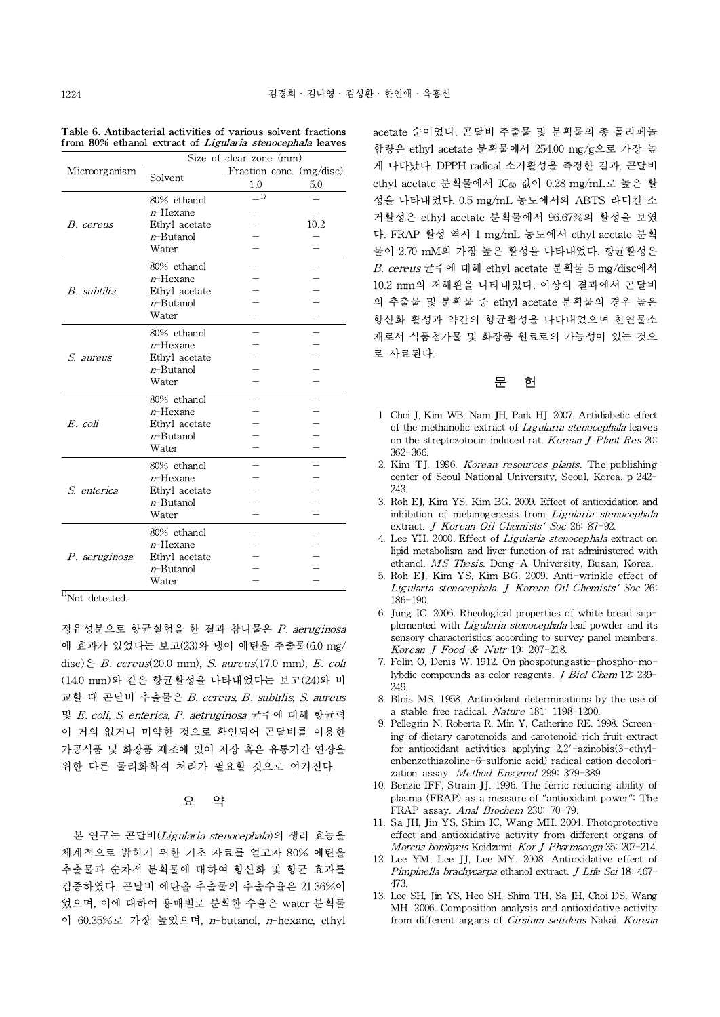|                    | Size of clear zone (mm) |                          |      |
|--------------------|-------------------------|--------------------------|------|
| Microorganism      |                         | Fraction conc. (mg/disc) |      |
|                    | Solvent                 | 1.0                      | 5.0  |
|                    | 80% ethanol             | $=$ 1)                   |      |
|                    | $n$ -Hexane             |                          |      |
| B. cereus          | Ethyl acetate           |                          | 10.2 |
|                    | $n$ -Butanol            |                          |      |
|                    | Water                   |                          |      |
|                    | 80% ethanol             |                          |      |
|                    | $n$ –Hexane             |                          |      |
| B. subtilis        | Ethyl acetate           |                          |      |
|                    | $n$ -Butanol            |                          |      |
|                    | Water                   |                          |      |
|                    | 80% ethanol             |                          |      |
|                    | $n$ -Hexane             |                          |      |
| S. aureus          | Ethyl acetate           |                          |      |
|                    | $n$ -Butanol            |                          |      |
|                    | Water                   |                          |      |
|                    | 80% ethanol             |                          |      |
|                    | $n$ -Hexane             |                          |      |
| E. coli            | Ethyl acetate           |                          |      |
|                    | $n$ -Butanol            |                          |      |
|                    | Water                   |                          |      |
| <i>S. enterica</i> | 80% ethanol             |                          |      |
|                    | $n$ -Hexane             |                          |      |
|                    | Ethyl acetate           |                          |      |
|                    | <i>n</i> -Butanol       |                          |      |
|                    | Water                   |                          |      |
| P. aeruginosa      | 80% ethanol             |                          |      |
|                    | $n$ -Hexane             |                          |      |
|                    | Ethyl acetate           |                          |      |
|                    | $n$ -Butanol            |                          |      |
|                    | Water                   |                          |      |

Table 6. Antibacterial activities of various solvent fractions from 80% ethanol extract of *Ligularia stenocephala* leaves

 $<sup>1</sup>$ Not detected.</sup>

정유성분으로 항균실험을 한 결과 참나물은 P. aeruginosa 에 효과가 있었다는 보고(23)와 냉이 에탄올 추출물(6.0 mg/ disc)은  $B$ . cereus(20.0 mm),  $S$ . aureus(17.0 mm),  $E$ . coli (14.0 mm)와 같은 항균활성을 나타내었다는 보고(24)와 비 교할 때 곤달비 추출물은 B. cereus, B. subtilis, S. aureus 및 E. coli, S. enterica, P. aetruginosa 균주에 대해 항균력 이 거의 없거나 미약한 것으로 확인되어 곤달비를 이용한 가공식품 및 화장품 제조에 있어 저장 혹은 유통기간 연장을 위한 다른 물리화학적 처리가 필요할 것으로 여겨진다.

# 요 약

본 연구는 곤달비(Ligularia stenocephala)의 생리 효능을 체계적으로 밝히기 위한 기초 자료를 얻고자 80% 에탄올 추출물과 순차적 분획물에 대하여 항산화 및 항균 효과를 검증하였다. 곤달비 에탄올 추출물의 추출수율은 21.36%이 었으며, 이에 대하여 용매별로 분획한 수율은 water 분획물 이 60.35%로 가장 높았으며, n-butanol, n-hexane, ethyl

- 성을 나타내었다.0.5 mg/mL 농도에서의 ABTS 라디칼 소 - 거활성은 ethyl acetate 분획물에서 96.67%의 활성을 보였 - 다. FRAP 활성 역시 1 mg/mL 농도에서 ethyl acetate 분획 - 물이 2.70 mM의 가장 높은 활성을 나타내었다.항균활성은 - B. cereus 균주에 대해 ethyl acetate 분획물 5 mg/disc에서 - 10.2 mm의 저해환을 나타내었다. 이상의 결과에서 곤달비 - 의 추출물 및 분획물 중 ethyl acetate 분획물의 경우 높은 - 항산화 활성과 약간의 항균활성을 나타내었으며 천연물소 - 재로서 식품첨가물 및 화장품 원료로의 가능성이 있는 것으 - 로 사료된다. acetate 순이었다. 곤달비 추출물 및 분획물의 총 폴리페놀 함량은 ethyl acetate 분획물에서 254.00 mg/g으로 가장 높 게 나타났다. DPPH radical 소거활성을 측정한 결과, 곤달비 ethyl acetate 분획물에서 IC<sup>50</sup> 값이 0.28 mg/mL로 높은 활

### 문 헌

- 1. Choi J, Kim WB, Nam JH, Park HJ. 2007. Antidiabetic effect of the methanolic extract of Ligularia stenocephala leaves on the streptozotocin induced rat. Korean J Plant Res 20: 362-366.
- 2. Kim TJ. 1996. *Korean resources plants*. The publishing center of Seoul National University, Seoul, Korea. p 242- 243.
- 3. Roh EJ, Kim YS, Kim BG. 2009. Effect of antioxidation and inhibition of melanogenesis from Ligularia stenocephala extract. J Korean Oil Chemists' Soc 26: 87-92.
- 4. Lee YH. 2000. Effect of Ligularia stenocephala extract on lipid metabolism and liver function of rat administered with ethanol. MS Thesis. Dong-A University, Busan, Korea.
	- 5. Roh EJ, Kim YS, Kim BG. 2009. Anti-wrinkle effect of Ligularia stenocephala. J Korean Oil Chemists' Soc 26: 186-190.
	- 6. Jung IC. 2006. Rheological properties of white bread supplemented with *Ligularia stenocephala* leaf powder and its sensory characteristics according to survey panel members. Korean J Food & Nutr 19: 207-218.
	- 7. Folin O, Denis W. 1912. On phospotungastic-phospho-molybdic compounds as color reagents. J Biol Chem 12: 239- 249.
	- 8. Blois MS. 1958. Antioxidant determinations by the use of a stable free radical. Nature 181: 1198-1200.
	- 9. Pellegrin N, Roberta R, Min Y, Catherine RE. 1998. Screening of dietary carotenoids and carotenoid-rich fruit extract for antioxidant activities applying 2,2'-azinobis(3-ethylenbenzothiazoline-6-sulfonic acid) radical cation decolorization assay. Method Enzymol 299: 379-389.
	- 10. Benzie IFF, Strain JJ. 1996. The ferric reducing ability of plasma (FRAP) as a measure of "antioxidant power": The FRAP assay. Anal Biochem 230: 70-79.
	- 11. Sa JH, Jin YS, Shim IC, Wang MH. 2004. Photoprotective effect and antioxidative activity from different organs of Morcus bombycis Koidzumi. Kor J Pharmacogn 35: 207-214.
	- 12. Lee YM, Lee JJ, Lee MY. 2008. Antioxidative effect of Pimpinella brachycarpa ethanol extract. J Life Sci 18: 467-473.
	- 13. Lee SH, Jin YS, Heo SH, Shim TH, Sa JH, Choi DS, Wang MH. 2006. Composition analysis and antioxidative activity from different argans of Cirsium setidens Nakai. Korean